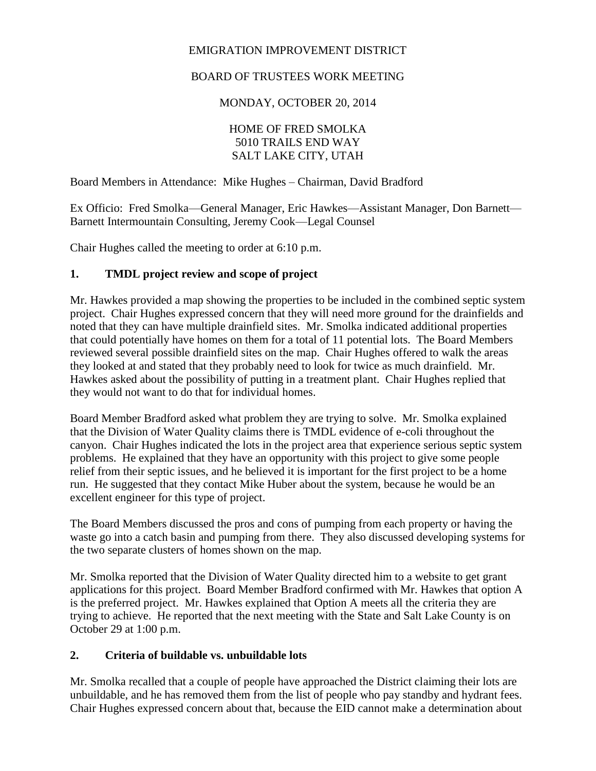#### EMIGRATION IMPROVEMENT DISTRICT

# BOARD OF TRUSTEES WORK MEETING

MONDAY, OCTOBER 20, 2014

## HOME OF FRED SMOLKA 5010 TRAILS END WAY SALT LAKE CITY, UTAH

Board Members in Attendance: Mike Hughes – Chairman, David Bradford

Ex Officio: Fred Smolka—General Manager, Eric Hawkes—Assistant Manager, Don Barnett— Barnett Intermountain Consulting, Jeremy Cook—Legal Counsel

Chair Hughes called the meeting to order at 6:10 p.m.

## **1. TMDL project review and scope of project**

Mr. Hawkes provided a map showing the properties to be included in the combined septic system project. Chair Hughes expressed concern that they will need more ground for the drainfields and noted that they can have multiple drainfield sites. Mr. Smolka indicated additional properties that could potentially have homes on them for a total of 11 potential lots. The Board Members reviewed several possible drainfield sites on the map. Chair Hughes offered to walk the areas they looked at and stated that they probably need to look for twice as much drainfield. Mr. Hawkes asked about the possibility of putting in a treatment plant. Chair Hughes replied that they would not want to do that for individual homes.

Board Member Bradford asked what problem they are trying to solve. Mr. Smolka explained that the Division of Water Quality claims there is TMDL evidence of e-coli throughout the canyon. Chair Hughes indicated the lots in the project area that experience serious septic system problems. He explained that they have an opportunity with this project to give some people relief from their septic issues, and he believed it is important for the first project to be a home run. He suggested that they contact Mike Huber about the system, because he would be an excellent engineer for this type of project.

The Board Members discussed the pros and cons of pumping from each property or having the waste go into a catch basin and pumping from there. They also discussed developing systems for the two separate clusters of homes shown on the map.

Mr. Smolka reported that the Division of Water Quality directed him to a website to get grant applications for this project. Board Member Bradford confirmed with Mr. Hawkes that option A is the preferred project. Mr. Hawkes explained that Option A meets all the criteria they are trying to achieve. He reported that the next meeting with the State and Salt Lake County is on October 29 at 1:00 p.m.

## **2. Criteria of buildable vs. unbuildable lots**

Mr. Smolka recalled that a couple of people have approached the District claiming their lots are unbuildable, and he has removed them from the list of people who pay standby and hydrant fees. Chair Hughes expressed concern about that, because the EID cannot make a determination about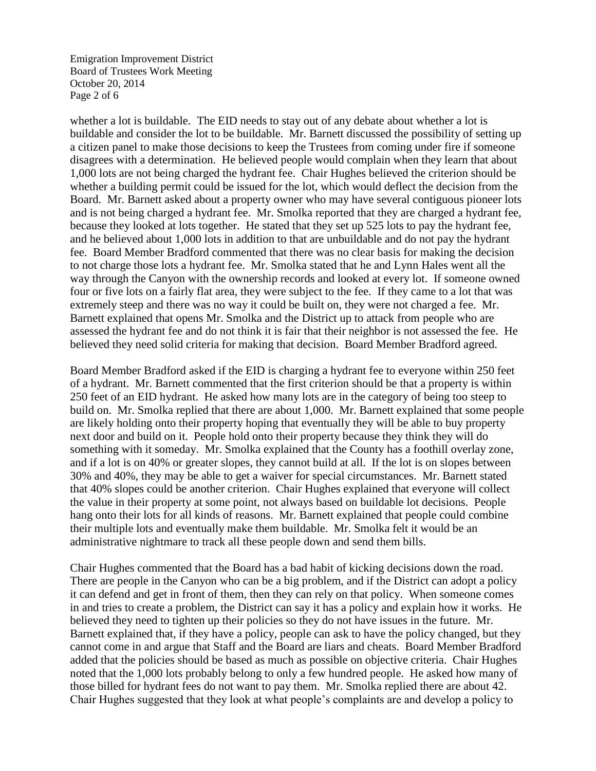Emigration Improvement District Board of Trustees Work Meeting October 20, 2014 Page 2 of 6

whether a lot is buildable. The EID needs to stay out of any debate about whether a lot is buildable and consider the lot to be buildable. Mr. Barnett discussed the possibility of setting up a citizen panel to make those decisions to keep the Trustees from coming under fire if someone disagrees with a determination. He believed people would complain when they learn that about 1,000 lots are not being charged the hydrant fee. Chair Hughes believed the criterion should be whether a building permit could be issued for the lot, which would deflect the decision from the Board. Mr. Barnett asked about a property owner who may have several contiguous pioneer lots and is not being charged a hydrant fee. Mr. Smolka reported that they are charged a hydrant fee, because they looked at lots together. He stated that they set up 525 lots to pay the hydrant fee, and he believed about 1,000 lots in addition to that are unbuildable and do not pay the hydrant fee. Board Member Bradford commented that there was no clear basis for making the decision to not charge those lots a hydrant fee. Mr. Smolka stated that he and Lynn Hales went all the way through the Canyon with the ownership records and looked at every lot. If someone owned four or five lots on a fairly flat area, they were subject to the fee. If they came to a lot that was extremely steep and there was no way it could be built on, they were not charged a fee. Mr. Barnett explained that opens Mr. Smolka and the District up to attack from people who are assessed the hydrant fee and do not think it is fair that their neighbor is not assessed the fee. He believed they need solid criteria for making that decision. Board Member Bradford agreed.

Board Member Bradford asked if the EID is charging a hydrant fee to everyone within 250 feet of a hydrant. Mr. Barnett commented that the first criterion should be that a property is within 250 feet of an EID hydrant. He asked how many lots are in the category of being too steep to build on. Mr. Smolka replied that there are about 1,000. Mr. Barnett explained that some people are likely holding onto their property hoping that eventually they will be able to buy property next door and build on it. People hold onto their property because they think they will do something with it someday. Mr. Smolka explained that the County has a foothill overlay zone, and if a lot is on 40% or greater slopes, they cannot build at all. If the lot is on slopes between 30% and 40%, they may be able to get a waiver for special circumstances. Mr. Barnett stated that 40% slopes could be another criterion. Chair Hughes explained that everyone will collect the value in their property at some point, not always based on buildable lot decisions. People hang onto their lots for all kinds of reasons. Mr. Barnett explained that people could combine their multiple lots and eventually make them buildable. Mr. Smolka felt it would be an administrative nightmare to track all these people down and send them bills.

Chair Hughes commented that the Board has a bad habit of kicking decisions down the road. There are people in the Canyon who can be a big problem, and if the District can adopt a policy it can defend and get in front of them, then they can rely on that policy. When someone comes in and tries to create a problem, the District can say it has a policy and explain how it works. He believed they need to tighten up their policies so they do not have issues in the future. Mr. Barnett explained that, if they have a policy, people can ask to have the policy changed, but they cannot come in and argue that Staff and the Board are liars and cheats. Board Member Bradford added that the policies should be based as much as possible on objective criteria. Chair Hughes noted that the 1,000 lots probably belong to only a few hundred people. He asked how many of those billed for hydrant fees do not want to pay them. Mr. Smolka replied there are about 42. Chair Hughes suggested that they look at what people's complaints are and develop a policy to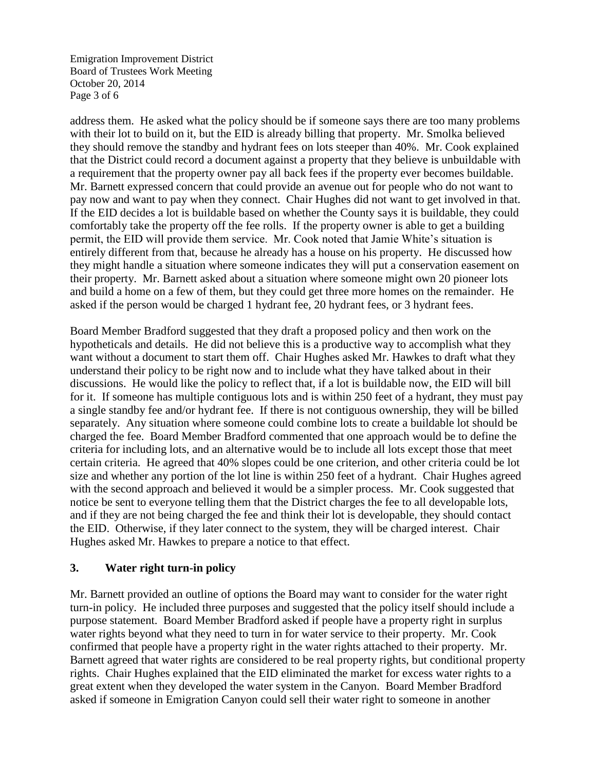Emigration Improvement District Board of Trustees Work Meeting October 20, 2014 Page 3 of 6

address them. He asked what the policy should be if someone says there are too many problems with their lot to build on it, but the EID is already billing that property. Mr. Smolka believed they should remove the standby and hydrant fees on lots steeper than 40%. Mr. Cook explained that the District could record a document against a property that they believe is unbuildable with a requirement that the property owner pay all back fees if the property ever becomes buildable. Mr. Barnett expressed concern that could provide an avenue out for people who do not want to pay now and want to pay when they connect. Chair Hughes did not want to get involved in that. If the EID decides a lot is buildable based on whether the County says it is buildable, they could comfortably take the property off the fee rolls. If the property owner is able to get a building permit, the EID will provide them service. Mr. Cook noted that Jamie White's situation is entirely different from that, because he already has a house on his property. He discussed how they might handle a situation where someone indicates they will put a conservation easement on their property. Mr. Barnett asked about a situation where someone might own 20 pioneer lots and build a home on a few of them, but they could get three more homes on the remainder. He asked if the person would be charged 1 hydrant fee, 20 hydrant fees, or 3 hydrant fees.

Board Member Bradford suggested that they draft a proposed policy and then work on the hypotheticals and details. He did not believe this is a productive way to accomplish what they want without a document to start them off. Chair Hughes asked Mr. Hawkes to draft what they understand their policy to be right now and to include what they have talked about in their discussions. He would like the policy to reflect that, if a lot is buildable now, the EID will bill for it. If someone has multiple contiguous lots and is within 250 feet of a hydrant, they must pay a single standby fee and/or hydrant fee. If there is not contiguous ownership, they will be billed separately. Any situation where someone could combine lots to create a buildable lot should be charged the fee. Board Member Bradford commented that one approach would be to define the criteria for including lots, and an alternative would be to include all lots except those that meet certain criteria. He agreed that 40% slopes could be one criterion, and other criteria could be lot size and whether any portion of the lot line is within 250 feet of a hydrant. Chair Hughes agreed with the second approach and believed it would be a simpler process. Mr. Cook suggested that notice be sent to everyone telling them that the District charges the fee to all developable lots, and if they are not being charged the fee and think their lot is developable, they should contact the EID. Otherwise, if they later connect to the system, they will be charged interest. Chair Hughes asked Mr. Hawkes to prepare a notice to that effect.

## **3. Water right turn-in policy**

Mr. Barnett provided an outline of options the Board may want to consider for the water right turn-in policy. He included three purposes and suggested that the policy itself should include a purpose statement. Board Member Bradford asked if people have a property right in surplus water rights beyond what they need to turn in for water service to their property. Mr. Cook confirmed that people have a property right in the water rights attached to their property. Mr. Barnett agreed that water rights are considered to be real property rights, but conditional property rights. Chair Hughes explained that the EID eliminated the market for excess water rights to a great extent when they developed the water system in the Canyon. Board Member Bradford asked if someone in Emigration Canyon could sell their water right to someone in another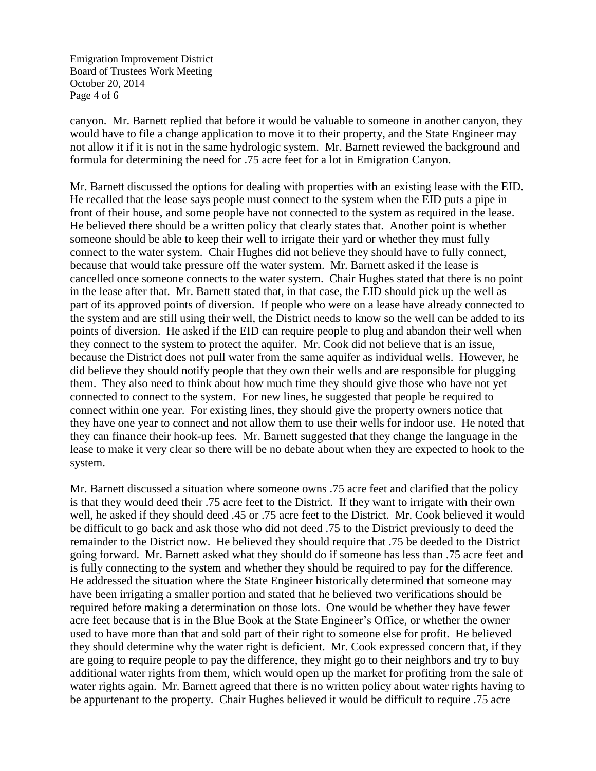Emigration Improvement District Board of Trustees Work Meeting October 20, 2014 Page 4 of 6

canyon. Mr. Barnett replied that before it would be valuable to someone in another canyon, they would have to file a change application to move it to their property, and the State Engineer may not allow it if it is not in the same hydrologic system. Mr. Barnett reviewed the background and formula for determining the need for .75 acre feet for a lot in Emigration Canyon.

Mr. Barnett discussed the options for dealing with properties with an existing lease with the EID. He recalled that the lease says people must connect to the system when the EID puts a pipe in front of their house, and some people have not connected to the system as required in the lease. He believed there should be a written policy that clearly states that. Another point is whether someone should be able to keep their well to irrigate their yard or whether they must fully connect to the water system. Chair Hughes did not believe they should have to fully connect, because that would take pressure off the water system. Mr. Barnett asked if the lease is cancelled once someone connects to the water system. Chair Hughes stated that there is no point in the lease after that. Mr. Barnett stated that, in that case, the EID should pick up the well as part of its approved points of diversion. If people who were on a lease have already connected to the system and are still using their well, the District needs to know so the well can be added to its points of diversion. He asked if the EID can require people to plug and abandon their well when they connect to the system to protect the aquifer. Mr. Cook did not believe that is an issue, because the District does not pull water from the same aquifer as individual wells. However, he did believe they should notify people that they own their wells and are responsible for plugging them. They also need to think about how much time they should give those who have not yet connected to connect to the system. For new lines, he suggested that people be required to connect within one year. For existing lines, they should give the property owners notice that they have one year to connect and not allow them to use their wells for indoor use. He noted that they can finance their hook-up fees. Mr. Barnett suggested that they change the language in the lease to make it very clear so there will be no debate about when they are expected to hook to the system.

Mr. Barnett discussed a situation where someone owns .75 acre feet and clarified that the policy is that they would deed their .75 acre feet to the District. If they want to irrigate with their own well, he asked if they should deed .45 or .75 acre feet to the District. Mr. Cook believed it would be difficult to go back and ask those who did not deed .75 to the District previously to deed the remainder to the District now. He believed they should require that .75 be deeded to the District going forward. Mr. Barnett asked what they should do if someone has less than .75 acre feet and is fully connecting to the system and whether they should be required to pay for the difference. He addressed the situation where the State Engineer historically determined that someone may have been irrigating a smaller portion and stated that he believed two verifications should be required before making a determination on those lots. One would be whether they have fewer acre feet because that is in the Blue Book at the State Engineer's Office, or whether the owner used to have more than that and sold part of their right to someone else for profit. He believed they should determine why the water right is deficient. Mr. Cook expressed concern that, if they are going to require people to pay the difference, they might go to their neighbors and try to buy additional water rights from them, which would open up the market for profiting from the sale of water rights again. Mr. Barnett agreed that there is no written policy about water rights having to be appurtenant to the property. Chair Hughes believed it would be difficult to require .75 acre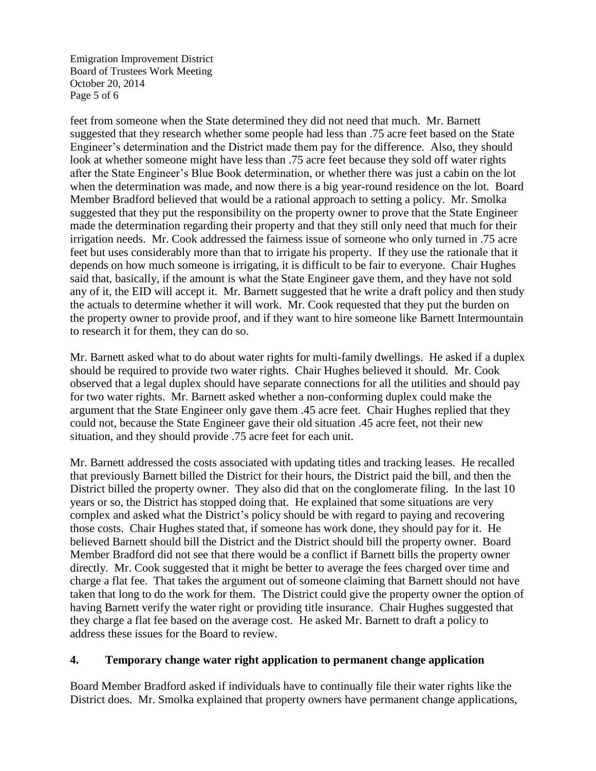Emigration Improvement District Board of Trustees Work Meeting October 20, 2014 Page 5 of 6

feet from someone when the State determined they did not need that much. Mr. Barnett suggested that they research whether some people had less than .75 acre feet based on the State Engineer's determination and the District made them pay for the difference. Also, they should look at whether someone might have less than .75 acre feet because they sold off water rights after the State Engineer's Blue Book determination, or whether there was just a cabin on the lot when the determination was made, and now there is a big year-round residence on the lot. Board Member Bradford believed that would be a rational approach to setting a policy. Mr. Smolka suggested that they put the responsibility on the property owner to prove that the State Engineer made the determination regarding their property and that they still only need that much for their irrigation needs. Mr. Cook addressed the fairness issue of someone who only turned in .75 acre feet but uses considerably more than that to irrigate his property. If they use the rationale that it depends on how much someone is irrigating, it is difficult to be fair to everyone. Chair Hughes said that, basically, if the amount is what the State Engineer gave them, and they have not sold any of it, the EID will accept it. Mr. Barnett suggested that he write a draft policy and then study the actuals to determine whether it will work. Mr. Cook requested that they put the burden on the property owner to provide proof, and if they want to hire someone like Barnett Intermountain to research it for them, they can do so.

Mr. Barnett asked what to do about water rights for multi-family dwellings. He asked if a duplex should be required to provide two water rights. Chair Hughes believed it should. Mr. Cook observed that a legal duplex should have separate connections for all the utilities and should pay for two water rights. Mr. Barnett asked whether a non-conforming duplex could make the argument that the State Engineer only gave them .45 acre feet. Chair Hughes replied that they could not, because the State Engineer gave their old situation .45 acre feet, not their new situation, and they should provide .75 acre feet for each unit.

Mr. Barnett addressed the costs associated with updating titles and tracking leases. He recalled that previously Barnett billed the District for their hours, the District paid the bill, and then the District billed the property owner. They also did that on the conglomerate filing. In the last 10 years or so, the District has stopped doing that. He explained that some situations are very complex and asked what the District's policy should be with regard to paying and recovering those costs. Chair Hughes stated that, if someone has work done, they should pay for it. He believed Barnett should bill the District and the District should bill the property owner. Board Member Bradford did not see that there would be a conflict if Barnett bills the property owner directly. Mr. Cook suggested that it might be better to average the fees charged over time and charge a flat fee. That takes the argument out of someone claiming that Barnett should not have taken that long to do the work for them. The District could give the property owner the option of having Barnett verify the water right or providing title insurance. Chair Hughes suggested that they charge a flat fee based on the average cost. He asked Mr. Barnett to draft a policy to address these issues for the Board to review.

#### **4. Temporary change water right application to permanent change application**

Board Member Bradford asked if individuals have to continually file their water rights like the District does. Mr. Smolka explained that property owners have permanent change applications,